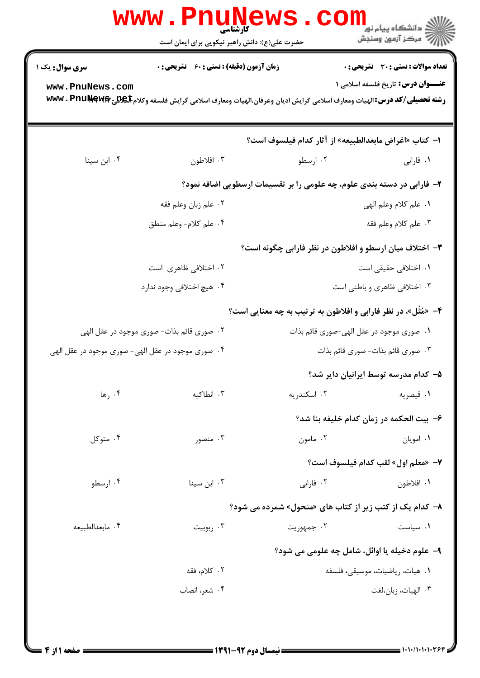| تعداد سوالات : تستي : 30 ٪ تشريحي : 0                                                                                                                                                                    |                                                                                        | زمان آزمون (دقیقه) : تستی : 60 ٪ تشریحی : 0 | <b>سری سوال :</b> یک ۱                            |  |  |  |
|----------------------------------------------------------------------------------------------------------------------------------------------------------------------------------------------------------|----------------------------------------------------------------------------------------|---------------------------------------------|---------------------------------------------------|--|--|--|
| <b>عنـــوان درس:</b> تاریخ فلسفه اسلامی ۱<br>www.PnuNews.com<br><b>رشته تحصیلی/کد درس: ا</b> لهیات ومعارف اسلامی گرایش ادیان وعرفان،الهیات ومعارف اسلامی گرایش فلسفه وکلام <b>بلیکلیچ www . PnuNewer</b> |                                                                                        |                                             |                                                   |  |  |  |
| ا– كتاب «اغراض مابعدالطبيعه» از آثار كدام فيلسوف است؟                                                                                                                                                    |                                                                                        |                                             |                                                   |  |  |  |
| ۰ <b>۱</b> فارابی مسلو                                                                                                                                                                                   |                                                                                        | ۰۳ افلاطون                                  | ۰۴ ابن سينا                                       |  |  |  |
| ۲- فارابی در دسته بندی علوم، چه علومی را بر تقسیمات ارسطویی اضافه نمود؟                                                                                                                                  |                                                                                        |                                             |                                                   |  |  |  |
| ١. علم كلام وعلم الهي                                                                                                                                                                                    |                                                                                        | ۰۲ علم زبان وعلم فقه                        |                                                   |  |  |  |
| ۰۳ علم كلام وعلم فقه                                                                                                                                                                                     | ۰۴ علم كلام- وعلم منطق                                                                 |                                             |                                                   |  |  |  |
| ۳- اختلاف میان ارسطو و افلاطون در نظر فارابی چگونه است؟                                                                                                                                                  |                                                                                        |                                             |                                                   |  |  |  |
| ٠١. اختلافي حقيقي است                                                                                                                                                                                    |                                                                                        | ۰۲ اختلافی ظاهری است                        |                                                   |  |  |  |
| ۰۳ اختلافی ظاهری و باطنی است                                                                                                                                                                             |                                                                                        | ۰۴ هيچ اختلافي وجود ندارد                   |                                                   |  |  |  |
| ۴- «مُثَّل»، در نظر فارابی و افلاطون به ترتیب به چه معنایی است؟                                                                                                                                          |                                                                                        |                                             |                                                   |  |  |  |
|                                                                                                                                                                                                          | ۰۱ صوری موجود در عقل الهی-صوری قائم بذات<br>۲ . صوری قائم بذات- صوری موجود در عقل الهی |                                             |                                                   |  |  |  |
| ۰۳ صوری قائم بذات- صوری قائم بذات                                                                                                                                                                        |                                                                                        |                                             | ۰۴ صوری موجود در عقل الهی- صوری موجود در عقل الهی |  |  |  |
| ۵– کدام مدرسه توسط ایرانیان دایر شد؟                                                                                                                                                                     |                                                                                        |                                             |                                                   |  |  |  |
| ۰۱ قیصریه                                                                                                                                                                                                | ۰۲ اسکندریه                                                                            | ۰۳ انطاکیه                                  | ۰۴ رها                                            |  |  |  |
| ۶- بيت الحكمه در زمان كدام خليفه بنا شد؟                                                                                                                                                                 |                                                                                        |                                             |                                                   |  |  |  |
| ۰۱ امويان                                                                                                                                                                                                | ۰۲ مامون                                                                               | ۰۳ منصور                                    | ۰۴ متوکل                                          |  |  |  |
| V— «معلم اول» لقب كدام فيلسوف است؟                                                                                                                                                                       |                                                                                        |                                             |                                                   |  |  |  |
| ۰۱ افلاطون                                                                                                                                                                                               | ۰۲ فارابی                                                                              | ۰۳ ابن سینا                                 | ۰۴ ارسطو                                          |  |  |  |
| ۸- کدام یک از کتب زیر از کتاب های «منحول» شمرده می شود؟                                                                                                                                                  |                                                                                        |                                             |                                                   |  |  |  |
| ۰۱ سیاست                                                                                                                                                                                                 | ۰۲ جمهوريت                                                                             | ۰۳ ربوبیت                                   | ۰۴ مابعدالطبيعه                                   |  |  |  |
| ۹- علوم دخیله یا اوائل، شامل چه علومی می شود؟                                                                                                                                                            |                                                                                        |                                             |                                                   |  |  |  |
| ٠١. هيات، رياضيات، موسيقى، فلسفه                                                                                                                                                                         |                                                                                        | ٢. كلام، فقه                                |                                                   |  |  |  |
| ۰۳ الهيات، زبان،لغت                                                                                                                                                                                      |                                                                                        | ۰۴ شعر، انصاب                               |                                                   |  |  |  |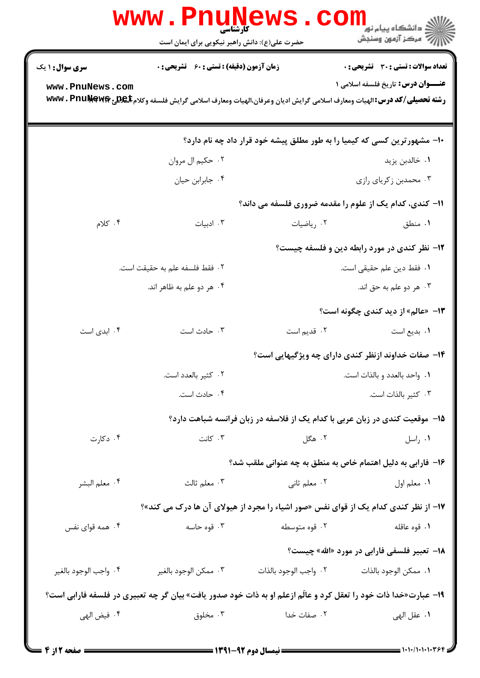|                                                                                                                               | <b>WWW . PI</b><br><b>کارشناسی</b><br>حضرت علی(ع): دانش راهبر نیکویی برای ایمان است |                       | ڪ دانشڪاه پيام نور ■<br> 7- مرکز آزمون وسنڊش                                               |  |  |  |
|-------------------------------------------------------------------------------------------------------------------------------|-------------------------------------------------------------------------------------|-----------------------|--------------------------------------------------------------------------------------------|--|--|--|
| <b>سری سوال : ۱ یک</b>                                                                                                        | <b>زمان آزمون (دقیقه) : تستی : 60 ٪ تشریحی : 0</b>                                  |                       | <b>تعداد سوالات : تستي : 30 ٪ تشريحي : 0</b>                                               |  |  |  |
| www.PnuNews.com                                                                                                               |                                                                                     |                       | <b>عنـــوان درس:</b> تاریخ فلسفه اسلامی ۱                                                  |  |  |  |
| رشته تحصیلی/کد درس: الهیات ومعارف اسلامی گرایش ادیان وعرفان،الهیات ومعارف اسلامی گرایش فلسفه وکلام <b>Ex ین WWW . PnuNewf</b> |                                                                                     |                       |                                                                                            |  |  |  |
|                                                                                                                               |                                                                                     |                       | ∙۱- مشهورترین کسی که کیمیا را به طور مطلق پیشه خود قرار داد چه نام دارد؟                   |  |  |  |
|                                                                                                                               | ۰۲ حکیم ال مروان                                                                    |                       | ۰۱ خالدبن يزيد                                                                             |  |  |  |
|                                                                                                                               | ۰۴ جابرابن حيان                                                                     |                       | ۰۳ محمدبن زكرياي رازي                                                                      |  |  |  |
|                                                                                                                               |                                                                                     |                       | 1۱- کندی، کدام یک از علوم را مقدمه ضروری فلسفه می داند؟                                    |  |  |  |
| ۰۴ کلام                                                                                                                       | ۰۳ ادبیات                                                                           | ۰۲ ریاضیات            | ۰۱ منطق                                                                                    |  |  |  |
|                                                                                                                               |                                                                                     |                       | <b>۱۲</b> - نظر کندی در مورد رابطه دین و فلسفه چیست؟                                       |  |  |  |
|                                                                                                                               | ٠٢ فقط فلسفه علم به حقيقت است.                                                      |                       | ٠١. فقط دين علم حقيقى است.                                                                 |  |  |  |
|                                                                                                                               | ۰۴ هر دو علم به ظاهر اند.                                                           |                       | ۰۳ هر دو علم به حق اند.                                                                    |  |  |  |
|                                                                                                                               |                                                                                     |                       | ۱۳- «عالم» از دید کندی چگونه است؟                                                          |  |  |  |
| ۰۴ ابدی است                                                                                                                   | ۰۳ حادث است                                                                         | ۰۲ قدیم است           | ۰۱ بدیع است                                                                                |  |  |  |
|                                                                                                                               |                                                                                     |                       | ۱۴- صفات خداوند ازنظر کندی دارای چه ویژگیهایی است؟                                         |  |  |  |
|                                                                                                                               | ۰۲ کثیر بالعدد است.                                                                 |                       | ٠١. واحد بالعدد و بالذات است.                                                              |  |  |  |
|                                                                                                                               | ۰۴ حادث است.                                                                        |                       | ۰۳ کثیر بالذات است.                                                                        |  |  |  |
| ۱۵– موقعیت کندی در زبان عربی با کدام یک از فلاسفه در زبان فرانسه شباهت دارد؟                                                  |                                                                                     |                       |                                                                                            |  |  |  |
| ۰۴ دکارت                                                                                                                      | ۰۳ کانت                                                                             | ۰۲ هگل                | ۰۱ راسل                                                                                    |  |  |  |
|                                                                                                                               |                                                                                     |                       | ۱۶– فارابی به دلیل اهتمام خاص به منطق به چه عنوانی ملقب شد؟                                |  |  |  |
| ۰۴ معلم البشر                                                                                                                 | ۰۳ معلم ثالث                                                                        | ۰۲ معلم ثانی          | ٠١. معلم اول                                                                               |  |  |  |
|                                                                                                                               |                                                                                     |                       | <b>۱۷- از نظر کندی کدام یک از قوای نفس «صور اشیاء را مجرد از هیولای آن ها درک می کند»؟</b> |  |  |  |
| ۰۴ همه قوای نفس                                                                                                               | ۰۳ قوه حاسه                                                                         | ۰۲ قوه متوسطه         | ٠١. قوه عاقله                                                                              |  |  |  |
|                                                                                                                               |                                                                                     |                       | <b>۱۸</b> - تعبیر فلسفی فارابی در مورد «الله» چیست؟                                        |  |  |  |
| ۰۴ واجب الوجود بالغير                                                                                                         | ۰۳ ممكن الوجود بالغير                                                               | ٢. واجب الوجود بالذات | ٠١. ممكن الوجود بالذات                                                                     |  |  |  |
| ۱۹- عبارت«خدا ذات خود را تعقل کرد و عالّم ازعلم او به ذات خود صدور یافت» بیان گر چه تعبیری در فلسفه فارابی است؟               |                                                                                     |                       |                                                                                            |  |  |  |
| ۰۴ فيض الهي                                                                                                                   | ۰۳ مخلوق                                                                            | ۰۲ صفات خدا           | ٠١ عقل الهي                                                                                |  |  |  |
|                                                                                                                               |                                                                                     |                       |                                                                                            |  |  |  |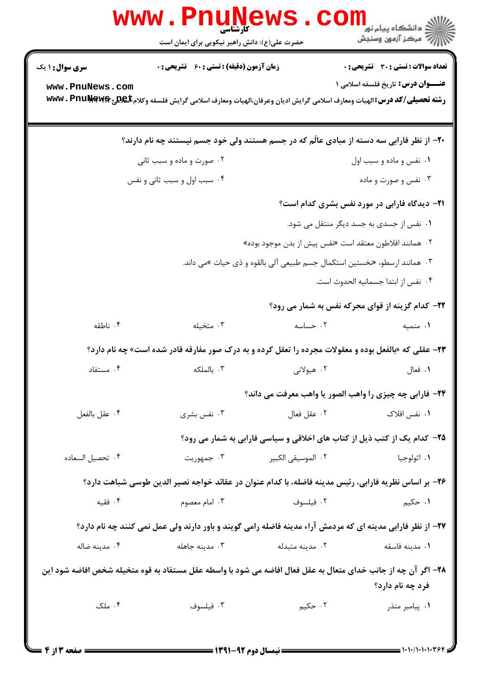| <b>WWW</b>                                                                                                                        | کارشناسی<br>حضرت علی(ع): دانش راهبر نیکویی برای ایمان است                                                        |                                                                           | ≦ دانشگاه پیام نو <mark>ر</mark><br>رآب آمرڪز آزمون وسنڊش |  |  |
|-----------------------------------------------------------------------------------------------------------------------------------|------------------------------------------------------------------------------------------------------------------|---------------------------------------------------------------------------|-----------------------------------------------------------|--|--|
| <b>سری سوال : ۱ یک</b>                                                                                                            | <b>زمان آزمون (دقیقه) : تستی : 60 ٪ تشریحی : 0</b>                                                               |                                                                           | <b>تعداد سوالات : تستي : 30 ٪ تشريحي : 0</b>              |  |  |
| www.PnuNews.com                                                                                                                   | رشته تحصیلی/کد درس: الهیات ومعارف اسلامی گرایش ادیان وعرفان،الهیات ومعارف اسلامی گرایش فلسفه وکلام www . PnuŊewe |                                                                           | <b>عنـــوان درس:</b> تاریخ فلسفه اسلامی ۱                 |  |  |
|                                                                                                                                   | ۲۰- از نظر فارابی سه دسته از مبادی عالّم که در جسم هستند ولی خود جسم نیستند چه نام دارند؟                        |                                                                           |                                                           |  |  |
| ۰۲ صورت و ماده و سبب ثانی                                                                                                         |                                                                                                                  |                                                                           | ۰۱ نفس و ماده و سبب اول                                   |  |  |
|                                                                                                                                   | ۰۴ سبب اول و سبب ثانی و نفس                                                                                      |                                                                           | ۰۳ نفس و صورت و ماده                                      |  |  |
|                                                                                                                                   |                                                                                                                  |                                                                           | <b>۲۱</b> - دیدگاه فارابی در مورد نفس بشری کدام است؟      |  |  |
|                                                                                                                                   |                                                                                                                  |                                                                           | ۰۱ نفس از جسدی به جسد دیگر منتقل می شود.                  |  |  |
|                                                                                                                                   |                                                                                                                  | ۰۲ همانند افلاطون معتقد است «نفس پیش از بدن موجود بوده»                   |                                                           |  |  |
|                                                                                                                                   |                                                                                                                  | ۰۳ همانند ارسطو، «نخستین استکمال جسم طبیعی آلی بالقوه و ذی حیات »می داند. |                                                           |  |  |
|                                                                                                                                   |                                                                                                                  |                                                                           | ۰۴ نفس از ابتدا جسمانيه الحدوث است.                       |  |  |
|                                                                                                                                   |                                                                                                                  |                                                                           | <b>۲۲- کدام گزینه از قوای محرکه نفس به شمار می رود؟</b>   |  |  |
| ۰۴ ناطقه                                                                                                                          | ۰۳ متخیله                                                                                                        | ۰۲ حساسه                                                                  | ۰۱ منمیه                                                  |  |  |
|                                                                                                                                   | <b>۲۳</b> - عقلی که «بالفعل بوده و معقولات مجرده را تعقل کرده و به درک صور مفارقه قادر شده است» چه نام دارد؟     |                                                                           |                                                           |  |  |
| ۰۴ مستفاد                                                                                                                         | ۰۳ بالملکه                                                                                                       | ۲. هیولانی                                                                | ۰۱ فعال                                                   |  |  |
|                                                                                                                                   |                                                                                                                  | ۲۴- فارابي چه چيزي را واهب الصور يا واهب معرفت مي داند؟                   |                                                           |  |  |
| ۰۴ عقل بالفعل                                                                                                                     | ۰۳ نفس بشری                                                                                                      | ٠٢ عقل فعال                                                               | ۰۱ نفس افلاک                                              |  |  |
|                                                                                                                                   |                                                                                                                  | ۲۵- کدام یک از کتب ذیل از کتاب های اخلاقی و سیاسی فارابی به شمار می رود؟  |                                                           |  |  |
| ۰۴ تحصيل السعاده                                                                                                                  | ۰۳ جمهوريت                                                                                                       | ٢. الموسيقى الكبير                                                        | ۰۱ اثولوجيا                                               |  |  |
| ۲۶– بر اساس نظریه فارابی، رئیس مدینه فاضله، با کدام عنوان در عقائد خواجه نصیر الدین طوسی شباهت دارد؟                              |                                                                                                                  |                                                                           |                                                           |  |  |
| ۰۴ فقیه                                                                                                                           | ۰۳ امام معصوم                                                                                                    | ۰۲ فیلسوف                                                                 | ۱. حکیم                                                   |  |  |
| 37- از نظر فارابی مدینه ای که مردمش آراء مدینه فاضله رامی گویند و باور دارند ولی عمل نمی کنند چه نام دارد؟                        |                                                                                                                  |                                                                           |                                                           |  |  |
| ۰۴ مدینه ضاله                                                                                                                     | ۰۳ مدينه جاهله                                                                                                   | ۰۲ مدینه متبدله                                                           | ٠١. مدينه فاسقه                                           |  |  |
| ۲۸- اگر آن چه از جانب خدای متعال به عقل فعال افاضه می شود با واسطه عقل مستفاد به قوه متخیله شخص افاضه شود این<br>فرد چه نام دارد؟ |                                                                                                                  |                                                                           |                                                           |  |  |
| ۰۴ ملک                                                                                                                            | ۰۳ فیلسوف                                                                                                        | ۰۲ حکیم                                                                   | ۰۱ پیامبر منذر                                            |  |  |
|                                                                                                                                   |                                                                                                                  |                                                                           |                                                           |  |  |